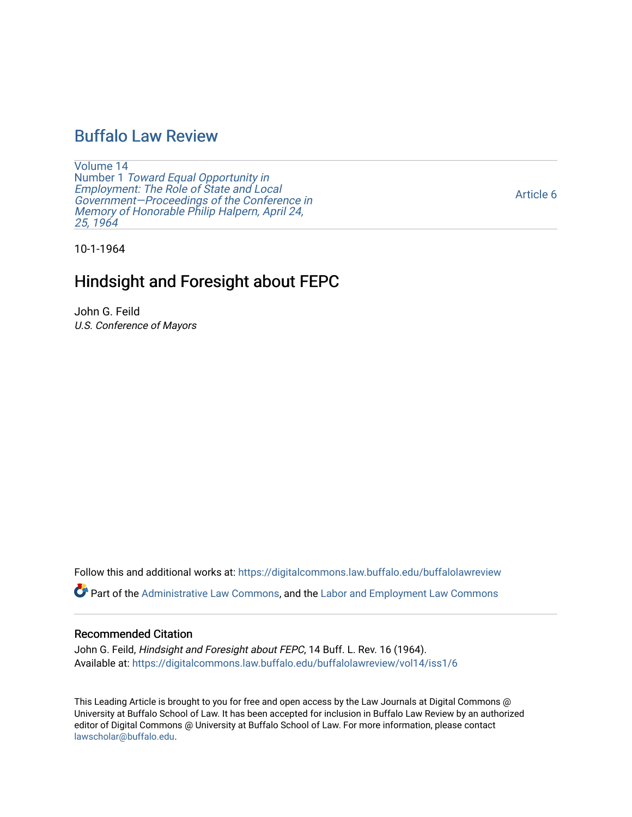## [Buffalo Law Review](https://digitalcommons.law.buffalo.edu/buffalolawreview)

[Volume 14](https://digitalcommons.law.buffalo.edu/buffalolawreview/vol14) Number 1 [Toward Equal Opportunity in](https://digitalcommons.law.buffalo.edu/buffalolawreview/vol14/iss1)  [Employment: The Role of State and Local](https://digitalcommons.law.buffalo.edu/buffalolawreview/vol14/iss1)  [Government—Proceedings of the Conference in](https://digitalcommons.law.buffalo.edu/buffalolawreview/vol14/iss1)  [Memory of Honorable Philip Halpern, April 24,](https://digitalcommons.law.buffalo.edu/buffalolawreview/vol14/iss1)  [25, 1964](https://digitalcommons.law.buffalo.edu/buffalolawreview/vol14/iss1) 

[Article 6](https://digitalcommons.law.buffalo.edu/buffalolawreview/vol14/iss1/6) 

10-1-1964

# Hindsight and Foresight about FEPC

John G. Feild U.S. Conference of Mayors

Follow this and additional works at: [https://digitalcommons.law.buffalo.edu/buffalolawreview](https://digitalcommons.law.buffalo.edu/buffalolawreview?utm_source=digitalcommons.law.buffalo.edu%2Fbuffalolawreview%2Fvol14%2Fiss1%2F6&utm_medium=PDF&utm_campaign=PDFCoverPages) 

Part of the [Administrative Law Commons,](http://network.bepress.com/hgg/discipline/579?utm_source=digitalcommons.law.buffalo.edu%2Fbuffalolawreview%2Fvol14%2Fiss1%2F6&utm_medium=PDF&utm_campaign=PDFCoverPages) and the [Labor and Employment Law Commons](http://network.bepress.com/hgg/discipline/909?utm_source=digitalcommons.law.buffalo.edu%2Fbuffalolawreview%2Fvol14%2Fiss1%2F6&utm_medium=PDF&utm_campaign=PDFCoverPages) 

## Recommended Citation

John G. Feild, Hindsight and Foresight about FEPC, 14 Buff. L. Rev. 16 (1964). Available at: [https://digitalcommons.law.buffalo.edu/buffalolawreview/vol14/iss1/6](https://digitalcommons.law.buffalo.edu/buffalolawreview/vol14/iss1/6?utm_source=digitalcommons.law.buffalo.edu%2Fbuffalolawreview%2Fvol14%2Fiss1%2F6&utm_medium=PDF&utm_campaign=PDFCoverPages) 

This Leading Article is brought to you for free and open access by the Law Journals at Digital Commons @ University at Buffalo School of Law. It has been accepted for inclusion in Buffalo Law Review by an authorized editor of Digital Commons @ University at Buffalo School of Law. For more information, please contact [lawscholar@buffalo.edu](mailto:lawscholar@buffalo.edu).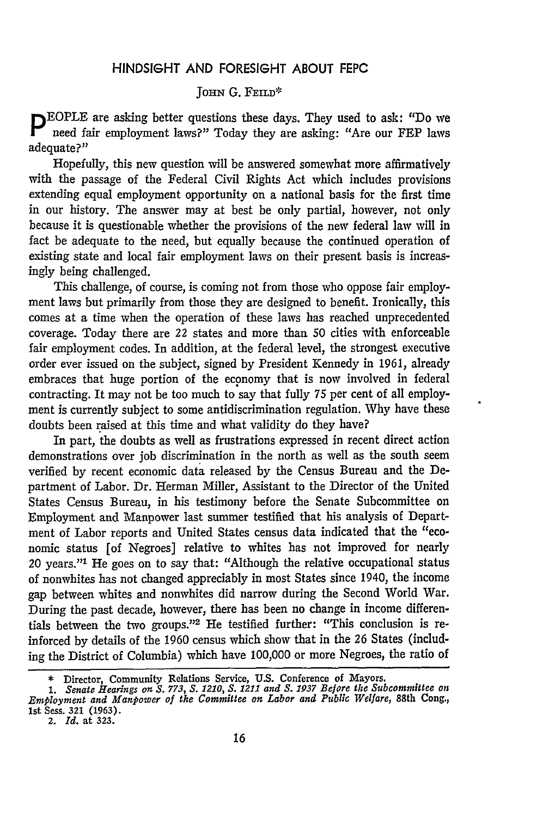#### HINDSIGHT AND FORESIGHT ABOUT FEPC

## **JOHN G.** FEILD\*

**PEOPLE** are asking better questions these days. They used to ask: "Do we need fair employment laws?" Today they are asking: "Are our FEP laws adequate?"

Hopefully, this new question will be answered somewhat more affirmatively with the passage of the Federal Civil Rights Act which includes provisions extending equal employment opportunity on a national basis for the first time in our history. The answer may at best be only partial, however, not only because it is questionable whether the provisions of the new federal law will in fact be adequate to the need, but equally because the continued operation of existing state and local fair employment laws on their present basis is increasingly being challenged.

This challenge, of course, is coming not from those who oppose fair employment laws but primarily from those they are designed to benefit. Ironically, this comes at a time when the operation of these laws has reached unprecedented coverage. Today there are 22 states and more than **50** cities with enforceable fair employment codes. In addition, at the federal level, the strongest executive order ever issued on the subject, signed **by** President Kennedy in **1961,** already embraces that huge portion of the economy that is now involved in federal contracting. It may not be too much to say that fully 75 per cent of all employment is currently subject to some antidiscrimination regulation. **Why** have these doubts been raised at this time and what validity do they have?

In part, the doubts as well as frustrations expressed in recent direct action demonstrations over job discrimination in the north as well as the south seem verified **by** recent economic data released by the Census Bureau and the Department of Labor. Dr. Herman Miller, Assistant to the Director of the United States Census Bureau, in his testimony before the Senate Subcommittee on Employment and Manpower last summer testified that his analysis of Department of Labor reports and United States census data indicated that the "economic status [of Negroes] relative to whites has not improved for nearly 20 years."<sup>1</sup> He goes on to say that: "Although the relative occupational status of nonwhites has not changed appreciably in most States since 1940, the income gap between whites and nonwhites did narrow during the Second World War. During the past decade, however, there has been no change in income differentials between the two groups."<sup>2</sup> He testified further: "This conclusion is reinforced by details of the 1960 census which show that in the **26** States (including the District of Columbia) which have 100,000 or more Negroes, the ratio of

**<sup>\*</sup>** Director, Community Relations Service, **U.S.** Conference of Mayors.

<sup>1.</sup> Senate Hearings on S. 773, S. 1210, S. 1211 and S. 1937 Before the Subcommittee on Employment and Manpower of the Committee on Labor and Public Welfare, 88th Cong., **1st** Sess. **321 (1963).**

*<sup>2.</sup> Id.* at **323.**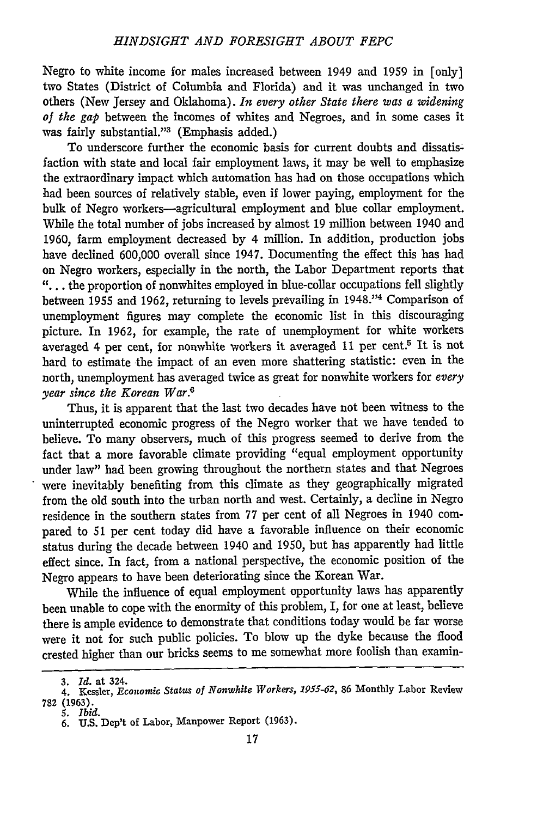Negro to white income for males increased between 1949 and **1959** in [only] two States (District of Columbia and Florida) and it was unchanged in two others (New Jersey and Oklahoma). *In every other State there was a widening of the gap* between the incomes of whites and Negroes, and in some cases it was fairly substantial."<sup>3</sup> (Emphasis added.)

To underscore further the economic basis for current doubts and dissatisfaction with state and local fair employment laws, it may be well to emphasize the extraordinary impact which automation has had on those occupations which had been sources of relatively stable, even if lower paying, employment for the bulk of Negro workers-agricultural employment and blue collar employment. While the total number of jobs increased **by** almost **19** million between 1940 and **1960,** farm employment decreased **by** 4 million. In addition, production jobs have declined **600,000** overall since 1947. Documenting the effect this has had on Negro workers, especially in the north, the Labor Department reports that **"...** the proportion of nonwhites employed in blue-collar occupations fell slightly between **1955** and **1962,** returning to levels prevailing in **1948."<sup>4</sup>**Comparison of unemployment figures may complete the economic list in this discouraging picture. In **1962,** for example, the rate of unemployment for white workers averaged 4 per cent, for nonwhite workers it averaged 11 per cent.<sup>5</sup> It is not bard to estimate the impact of an even more shattering statistic: even in the north, unemployment has averaged twice as great for nonwhite workers for *every year since the Korean War.6*

Thus, it is apparent that the last two decades have not been witness to the uninterrupted economic progress of the Negro worker that we have tended to believe. To many observers, much of this progress seemed to derive from the fact that a more favorable climate providing "equal employment opportunity under law" had been growing throughout the northern states and that Negroes were inevitably benefiting from this climate as they geographically migrated from the old south into the urban north and west. Certainly, a decline in Negro residence in the southern states from **77** per cent of all Negroes in 1940 compared to **51** per cent today did have a favorable influence on their economic status during the decade between 1940 and **1950,** but has apparently had little effect since. In fact, from a national perspective, the economic position of the Negro appears to have been deteriorating since the Korean War.

While the influence of equal employment opportunity laws has apparently been unable to cope with the enormity of this problem, I, for one at least, believe there is ample evidence to demonstrate that conditions today would be far worse were it not for such public policies. To blow up the dyke because the flood crested higher than our bricks seems to me somewhat more foolish than examin-

**<sup>3.</sup>** *Id.* at 324. 4. Kessler, *Economic Status of Nonwhite Workers, 1955-62,* **86** Monthly Labor Review **782 (1963).**

*<sup>5.</sup> Ibid.* **6. U.S.** Dep't of Labor, Manpower Report **(1963).**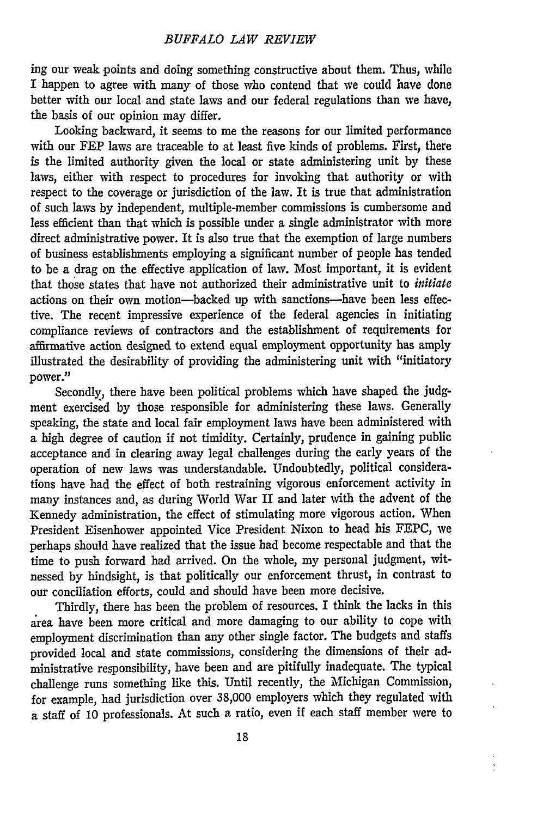ing our weak points and doing something constructive about them. Thus, while I happen to agree with many of those who contend that we could have done better with our local and state laws and our federal regulations than we have, the basis of our opinion may differ.

Looking backward, it seems to me the reasons for our limited performance with our FEP laws are traceable to at least five kinds of problems. First, there is the limited authority given the local or state administering unit **by** these laws, either with respect to procedures for invoking that authority or with respect to the coverage or jurisdiction of the law. It is true that administration of such laws by independent, multiple-member commissions is cumbersome and less efficient than that which is possible under a single administrator with more direct administrative power. It is also true that the exemption of large numbers of business establishments employing a significant number of people has tended to be a drag on the effective application of law. Most important, it is evident that those states that have not authorized their administrative unit to *initiate* actions on their own motion-backed up with sanctions-have been less effective. The recent impressive experience of the federal agencies in initiating compliance reviews of contractors and the establishment of requirements for affirmative action designed to extend equal employment opportunity has amply illustrated the desirability of providing the administering unit with "initiatory power."

Secondly, there have been political problems which have shaped the **judg**ment exercised **by** those responsible for administering these laws. Generally speaking, the state and local fair employment laws have been administered with a high degree of caution if not timidity. Certainly, prudence in gaining public acceptance and in clearing away legal challenges during the early years of the operation of new laws was understandable. Undoubtedly, political considerations have had the effect of both restraining vigorous enforcement activity in many instances and, as during World War II and later with the advent of the Kennedy administration, the effect of stimulating more vigorous action. When President Eisenhower appointed Vice President Nixon to head his **FEPC,** we perhaps should have realized that the issue had become respectable and that the time to push forward had arrived. On the whole, my personal judgment, witnessed **by** hindsight, is that politically our enforcement thrust, in contrast to our conciliation efforts, could and should have been more decisive.

Thirdly, there has been the problem of resources. I think the lacks in this area have been more critical and more damaging to our ability to cope with employment discrimination than any other single factor. The budgets and staffs provided local and state commissions, considering the dimensions of their administrative responsibility, have been and are pitifully inadequate. The typical challenge runs something like this. Until recently, the Michigan Commission, for example, had jurisdiction over **38,000** employers which they regulated with a staff of 10 professionals. At such a ratio, even if each staff member were to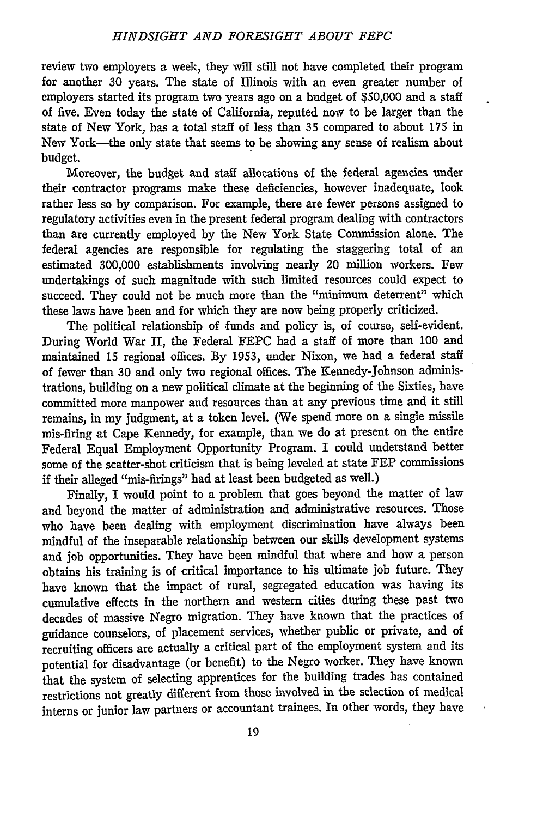review two employers a week, they will still not have completed their program for another 30 years. The state of Illinois with an even greater number of employers started its program two years ago on a budget of \$50,000 and a staff of five. Even today the state of California, reputed now to be larger than the state of New York, has a total staff of less than 35 compared to about 175 in New York-the only state that seems to be showing any sense of realism about budget.

Moreover, the budget and staff allocations of the federal agencies under their contractor programs make these deficiencies, however inadequate, look rather less so by comparison. For example, there are fewer persons assigned to regulatory activities even in the present federal program dealing with contractors than are currently employed by the New York State Commission alone. The federal agencies are responsible for regulating the staggering total of an estimated 300,000 establishments involving nearly 20 million workers. Few undertakings of such magnitude with such limited resources could expect to succeed. They could not be much more than the "minimum deterrent" which these laws have been and for which they are now being properly criticized.

The political relationship of funds and policy is, of course, self-evident. During World War II, the Federal FEPC had a staff of more than 100 and maintained 15 regional offices. By 1953, under Nixon, we had a federal staff of fewer than 30 and only two regional offices. The Kennedy-Johnson administrations, building on a new political climate at the beginning of the Sixties, have committed more manpower and resources than at any previous time and it still remains, in my judgment, at a token level. (We spend more on a single missile mis-firing at Cape Kennedy, for example, than we do at present on the entire Federal Equal Employment Opportunity Program. I could understand better some of the scatter-shot criticism that is being leveled at state FEP commissions if their alleged "mis-firings" had at least been budgeted as well.)

Finally, I would point to a problem that goes beyond the matter of law and beyond the matter of administration and administrative resources. Those who have been dealing with employment discrimination have always been mindful of the inseparable relationship between our skills development systems and **job** opportunities. They have been mindful that where and how a person obtains his training is of critical importance to his ultimate **job** future. They have known that the impact of rural, segregated education was having its cumulative effects in the northern and western cities during these past two decades of massive Negro migration. They have known that the practices of guidance counselors, of placement services, whether public or private, and of recruiting officers are actually a critical part of the employment system and its potential for disadvantage (or benefit) to the Negro worker. They have known that the system of selecting apprentices for the building trades has contained restrictions not greatly different from those involved in the selection of medical interns or junior law partners or accountant trainees. In other words, they have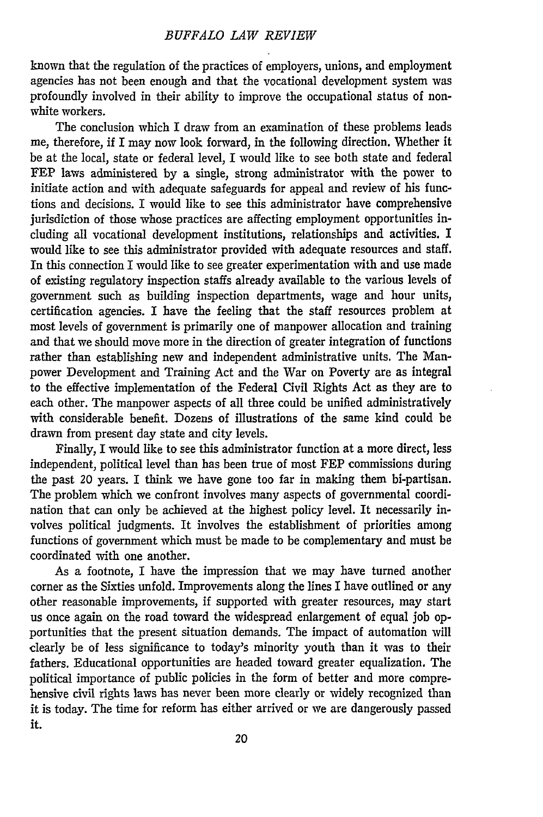known that the regulation of the practices of employers, unions, and employment agencies has not been enough and that the vocational development system was profoundly involved in their ability to improve the occupational status of nonwhite workers.

The conclusion which I draw from an examination of these problems leads me, therefore, if I may now look forward, in the following direction. Whether it be at the local, state or federal level, I would like to see both state and federal FEP laws administered by a single, strong administrator with the power to initiate action and with adequate safeguards for appeal and review of his functions and decisions. I would like to see this administrator have comprehensive jurisdiction of those whose practices are affecting employment opportunities including all vocational development institutions, relationships and activities. I would like to see this administrator provided with adequate resources and staff. In this connection I would like to see greater experimentation with and use made of existing regulatory inspection staffs already available to the various levels of government such as building inspection departments, wage and hour units, certification agencies. I have the feeling that the staff resources problem at most levels of government is primarily one of manpower allocation and training and that we should move more in the direction of greater integration of functions rather than establishing new and independent administrative units. The Manpower Development and Training Act and the War on Poverty are as integral to the effective implementation of the Federal Civil Rights Act as they are to each other. The manpower aspects of all three could be unified administratively with considerable benefit. Dozens of illustrations of the same kind could be drawn from present day state and city levels.

Finally, I would like to see this administrator function at a more direct, less independent, political level than has been true of most FEP commissions during the past 20 years. I think we have gone too far in making them bi-partisan. The problem which we confront involves many aspects of governmental coordination that can only be achieved at the highest policy level. It necessarily involves political judgments. It involves the establishment of priorities among functions of government which must be made to be complementary and must be coordinated with one another.

As a footnote, I have the impression that we may have turned another corner as the Sixties unfold. Improvements along the lines I have outlined or any other reasonable improvements, if supported with greater resources, may start us once again on the road toward the widespread enlargement of equal job opportunities that the present situation demands. The impact of automation will clearly be of less significance to today's minority youth than it was to their fathers. Educational opportunities are headed toward greater equalization. The political importance of public policies in the form of better and more comprehensive civil rights laws has never been more clearly or widely recognized than it is today. The time for reform has either arrived or we are dangerously passedit.